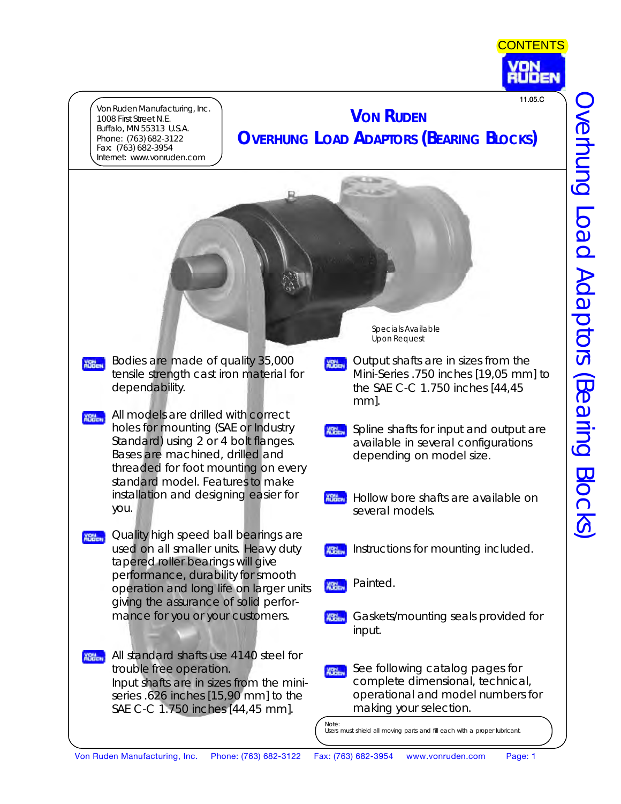

Von Ruden Manufacturing, Inc. 1008 First Street N.E. Buffalo, MN 55313 U.S.A. Phone: (763) 682-3122 Fax: (763) 682-3954 Internet: www.vonruden.com

# **VON RUDEN OVERHUNG LOAD ADAPTORS (BEARING BLOCKS)** 11.05.C

*Bodies are made of quality 35,000* **NSGEN** *tensile strength cast iron material for dependability.*

- *All models are drilled with correct* **YOM** *holes for mounting (SAE or Industry Standard) using 2 or 4 bolt flanges. Bases are machined, drilled and threaded for foot mounting on every standard model. Features to make installation and designing easier for you.*
- *<u>REET</u></del> Quality high speed ball bearings are used on all smaller units. Heavy duty tapered roller bearings will give performance, durability for smooth operation and long life on larger units giving the assurance of solid performance for you or your customers.*
- *All standard shafts use 4140 steel for trouble free operation. Input shafts are in sizes from the miniseries .626 inches [15,90 mm] to the SAE C-C 1.750 inches [44,45 mm].*

Specials Available Upon Request

- *Output shafts are in sizes from the* **XBN** *Mini-Series .750 inches [19,05 mm] to the SAE C-C 1.750 inches [44,45 mm].*
- *Spline shafts for input and output are* **XBN** *available in several configurations depending on model size.*
- **YOU** *Hollow bore shafts are available on several models.*
- *Instructions for mounting included.* **XRM**
- *Painted.* **XBB<sub>Ent</sub>**
- **XBND** *Gaskets/mounting seals provided for input.*
- *See following catalog pages for* **XBN** *complete dimensional, technical, operational and model numbers for making your selection.*

Note:

Users must shield all moving parts and fill each with a proper lubricant.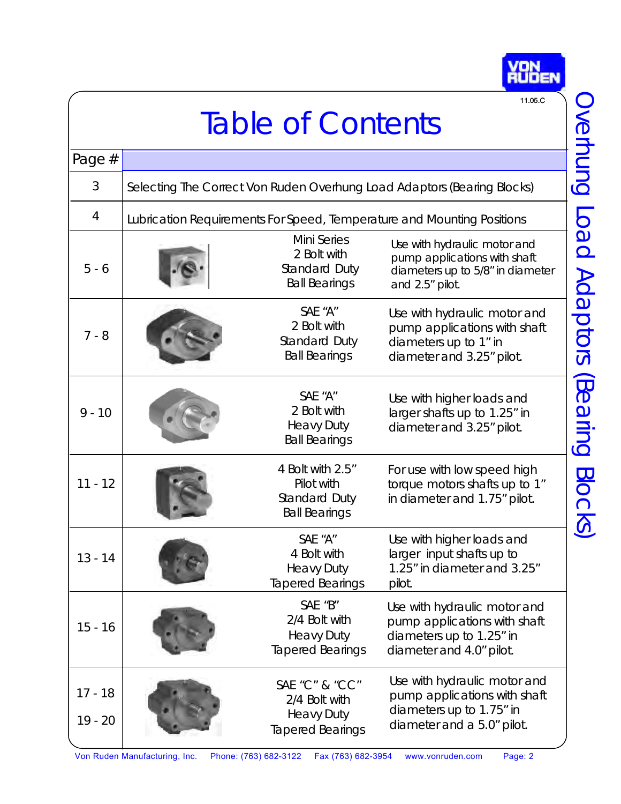<span id="page-1-0"></span>

|                          |                                                                         |                                                                                 | 11.05.C                                                                                                                |  |  |
|--------------------------|-------------------------------------------------------------------------|---------------------------------------------------------------------------------|------------------------------------------------------------------------------------------------------------------------|--|--|
| <b>Table of Contents</b> |                                                                         |                                                                                 |                                                                                                                        |  |  |
| Page $#$                 |                                                                         |                                                                                 |                                                                                                                        |  |  |
| 3                        | Selecting The Correct Von Ruden Overhung Load Adaptors (Bearing Blocks) |                                                                                 |                                                                                                                        |  |  |
| 4                        | Lubrication Requirements For Speed, Temperature and Mounting Positions  |                                                                                 |                                                                                                                        |  |  |
| $5 - 6$                  |                                                                         | <b>Mini Series</b><br>2 Bolt with<br>Standard Duty<br><b>Ball Bearings</b>      | Use with hydraulic motor and<br>pump applications with shaft<br>diameters up to 5/8" in diameter<br>and 2.5" pilot.    |  |  |
| $7 - 8$                  |                                                                         | SAE "A"<br>2 Bolt with<br>Standard Duty<br><b>Ball Bearings</b>                 | Use with hydraulic motor and<br>pump applications with shaft<br>diameters up to 1" in<br>diameter and 3.25" pilot.     |  |  |
| $9 - 10$                 |                                                                         | SAE "A"<br>2 Bolt with<br><b>Heavy Duty</b><br><b>Ball Bearings</b>             | Use with higher loads and<br>larger shafts up to 1.25" in<br>diameter and 3.25" pilot.                                 |  |  |
| $11 - 12$                |                                                                         | 4 Bolt with 2.5"<br>Pilot with<br>Standard Duty<br><b>Ball Bearings</b>         | For use with low speed high<br>torque motors shafts up to 1"<br>in diameter and 1.75" pilot.                           |  |  |
| $13 - 14$                |                                                                         | SAE "A"<br>4 Bolt with<br><b>Heavy Duty</b><br><b>Tapered Bearings</b>          | Use with higher loads and<br>larger input shafts up to<br>1.25" in diameter and 3.25"<br>pilot.                        |  |  |
| $15 - 16$                |                                                                         | SAE "B"<br>2/4 Bolt with<br><b>Heavy Duty</b><br><b>Tapered Bearings</b>        | Use with hydraulic motor and<br>pump applications with shaft<br>diameters up to 1.25" in<br>diameter and 4.0" pilot.   |  |  |
| $17 - 18$<br>$19 - 20$   |                                                                         | SAE "C" & "CC"<br>2/4 Bolt with<br><b>Heavy Duty</b><br><b>Tapered Bearings</b> | Use with hydraulic motor and<br>pump applications with shaft<br>diameters up to 1.75" in<br>diameter and a 5.0" pilot. |  |  |

**YON**<br>RUDEN

Von Ruden Manufacturing, Inc. Phone: (763) 682-3122 Fax (763) 682-3954 www.vonruden.com Page: 2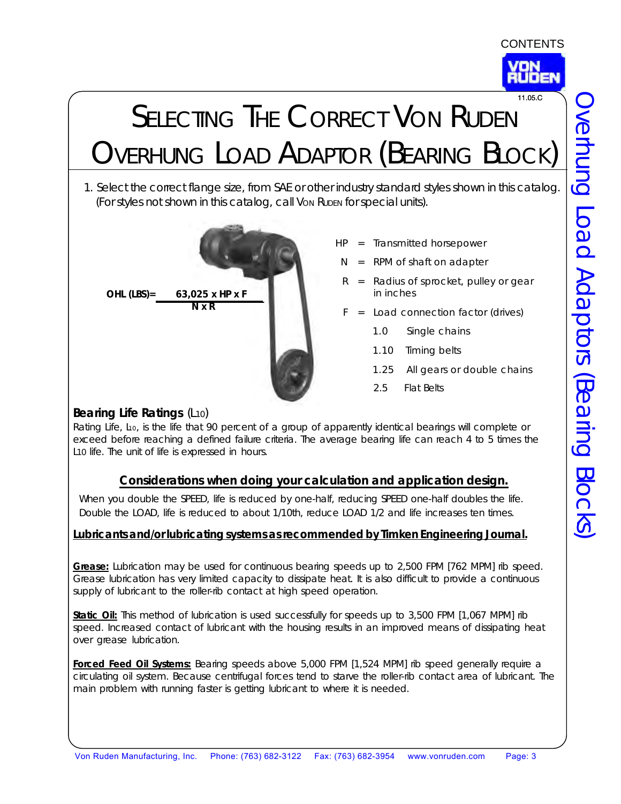

# <span id="page-2-0"></span>SELECTING THE CORRECT VON RUDEN OVERHUNG LOAD ADAPTOR (BEARING BLOCK) 11.05.C

1. Select the correct flange size, from SAE or other industry standard styles shown in this catalog. (For styles not shown in this catalog, call VON RUDEN for special units).



- $HP =$  Iransmitted horsepower
- $N = RPM$  of shaft on adapter
- $R$  = Radius of sprocket, pulley or gear in inches
- $F =$  Load connection factor (drives)
	- 1.0 Single chains
	- 1.10 Timing belts
	- 1.25 All gears or double chains
	- 2.5 Flat Belts

#### **Bearing Life Ratings (L10)**

Rating Life, L<sub>10</sub>, is the life that 90 percent of a group of apparently identical bearings will complete or exceed before reaching a defined failure criteria. The average bearing life can reach 4 to 5 times the L10 life. The unit of life is expressed in *hours*.

### **Considerations when doing your calculation and application design.**

When you double the SPEED, life is reduced by one-half, reducing SPEED one-half doubles the life. Double the LOAD, life is reduced to about 1/10th, reduce LOAD 1/2 and life increases ten times.

#### **Lubricants and/or lubricating systems as recommended by Timken Engineering Journal.**

**Grease:** Lubrication may be used for continuous bearing speeds up to 2,500 FPM [762 MPM] rib speed. Grease lubrication has very limited capacity to dissipate heat. It is also difficult to provide a continuous supply of lubricant to the roller-rib contact at high speed operation.

**Static Oil:** This method of lubrication is used successfully for speeds up to 3,500 FPM [1,067 MPM] rib speed. Increased contact of lubricant with the housing results in an improved means of dissipating heat over grease lubrication.

**Forced Feed Oil Systems:** Bearing speeds above 5,000 FPM [1,524 MPM] rib speed generally require a circulating oil system. Because centrifugal forces tend to starve the roller-rib contact area of lubricant. The main problem with running faster is getting lubricant to where it is needed.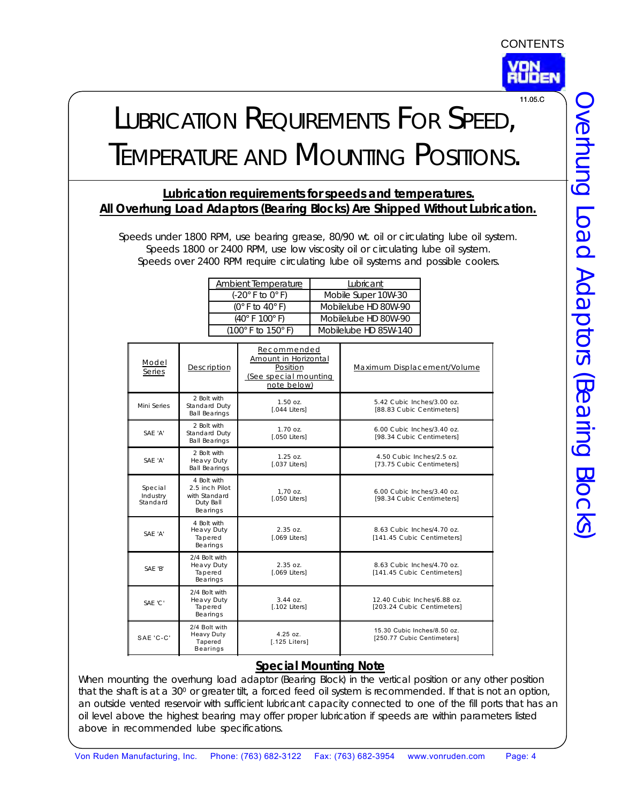

# <span id="page-3-0"></span>LUBRICATION REQUIREMENTS FOR SPEED, TEMPERATURE AND MOUNTING POSITIONS. 11.05.C

#### **Lubrication requirements for speeds and temperatures. All Overhung Load Adaptors (Bearing Blocks) Are Shipped Without Lubrication.**

Speeds under 1800 RPM, use bearing grease, 80/90 wt. oil or circulating lube oil system. Speeds 1800 or 2400 RPM, use low viscosity oil or circulating lube oil system. Speeds over 2400 RPM require circulating lube oil systems and possible coolers.

| Ambient Temperature                          | Lubricant             |
|----------------------------------------------|-----------------------|
| (-20° F to 0° F)                             | Mobile Super 10W-30   |
| $(0^\circ \text{ F to } 40^\circ \text{ F})$ | Mobilelube HD 80W-90  |
| $(40^{\circ}$ F $100^{\circ}$ F)             | Mobilelube HD 80W-90  |
| (100° F to 150° F)                           | Mobilelube HD 85W-140 |

| Model<br>Series                 | Description                                                             | Recommended<br>Amount in Horizontal<br>Position<br>(See special mounting<br>note below) | Maximum Displacement/Volume                               |
|---------------------------------|-------------------------------------------------------------------------|-----------------------------------------------------------------------------------------|-----------------------------------------------------------|
| Mini Series                     | 2 Bolt with<br>Standard Duty<br><b>Ball Bearings</b>                    | $1.50 \text{ oz}.$<br><b>[.044 Liters]</b>                                              | 5.42 Cubic Inches/3.00 oz.<br>[88.83 Cubic Centimeters]   |
| SAF 'A'                         | 2 Bolt with<br>Standard Duty<br><b>Ball Bearings</b>                    | $1.70 \Omega$ .<br>[.050 Liters]                                                        | 6.00 Cubic Inches/3.40 oz.<br>[98.34 Cubic Centimeters]   |
| SAF 'A'                         | 2 Bolt with<br>Heavy Duty<br><b>Ball Bearings</b>                       | $1.25 \Omega$<br>[.037 Liters]                                                          | 4.50 Cubic Inches/2.5 oz.<br>[73.75 Cubic Centimeters]    |
| Special<br>Industry<br>Standard | 4 Bolt with<br>2.5 inch Pilot<br>with Standard<br>Duty Ball<br>Bearings | $1.70$ oz.<br>[.050 Liters]                                                             | 6.00 Cubic Inches/3.40 oz.<br>[98.34 Cubic Centimeters]   |
| SAF 'A'                         | 4 Bolt with<br>Heavy Duty<br>Tapered<br>Bearings                        | $2.35$ $07.$<br>[.069 Liters]                                                           | 8.63 Cubic Inches/4.70 oz.<br>[141.45 Cubic Centimeters]  |
| SAF 'B'                         | 2/4 Bolt with<br>Heavy Duty<br>Tapered<br>Bearings                      | 2.3507.<br>$[.069$ Liters $]$                                                           | 8.63 Cubic Inches/4.70 oz.<br>[141.45 Cubic Centimeters]  |
| SAF 'C'                         | 2/4 Bolt with<br>Heavy Duty<br>Tapered<br>Bearings                      | $3.44 \Omega$<br>$[.102$ Liters $]$                                                     | 12.40 Cubic Inches/6.88 oz.<br>[203.24 Cubic Centimeters] |
| SAE 'C-C'                       | 2/4 Bolt with<br><b>Heavy Duty</b><br>Tapered<br><b>Bearings</b>        | $4.25$ $oz.$<br>[.125 Liters]                                                           | 15.30 Cubic Inches/8.50 oz.<br>[250.77 Cubic Centimeters] |

### **Special Mounting Note**

When mounting the overhung load adaptor (Bearing Block) in the vertical position or any other position that the shaft is at a 300 or greater tilt, a forced feed oil system is recommended. If that is not an option, an outside vented reservoir with sufficient lubricant capacity connected to one of the fill ports that has an oil level above the highest bearing may offer proper lubrication if speeds are within parameters listed above in recommended lube specifications.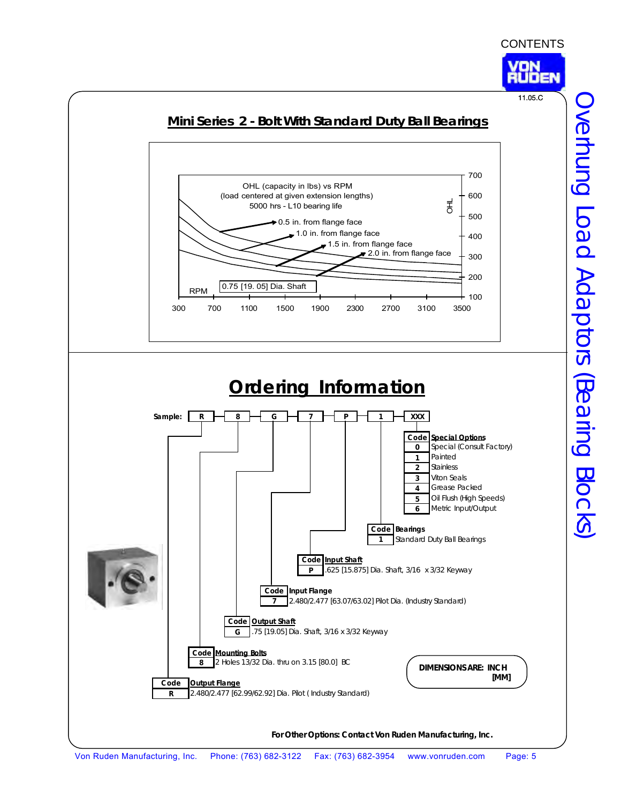

<span id="page-4-0"></span>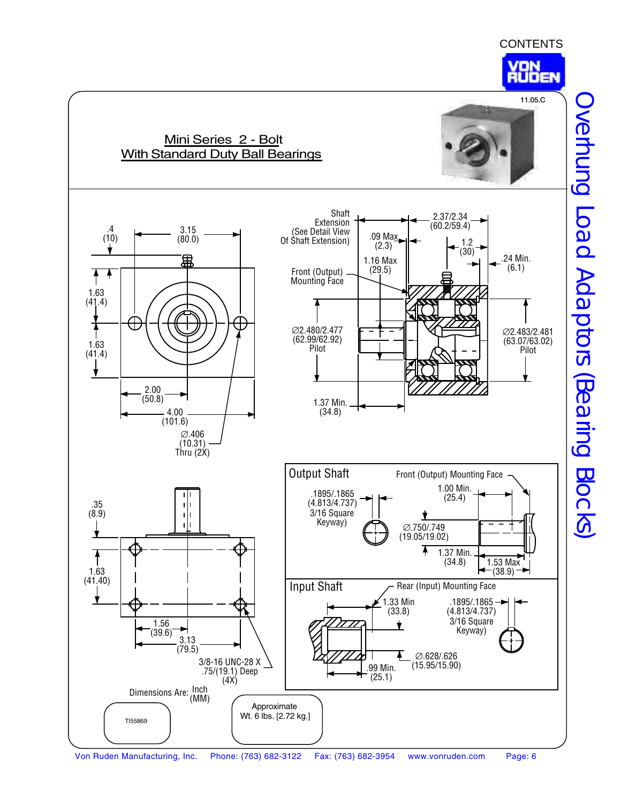

Overhung Load Adaptors (Bearing Blocks) Overhung Load Adaptors (Bearing Blocks)

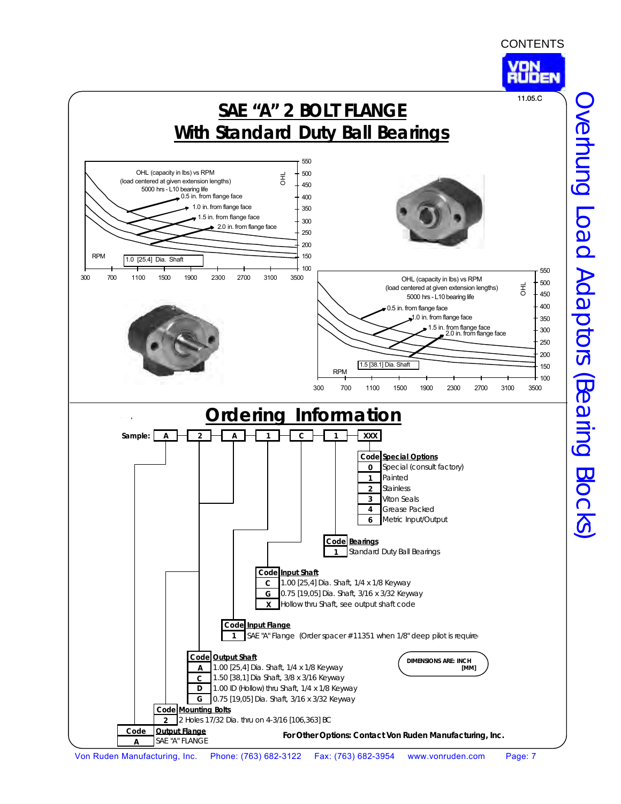<span id="page-6-0"></span>

Overhung Load Adaptors (Bearing Blocks) Overhung Load Adaptors (Bearing Blocks)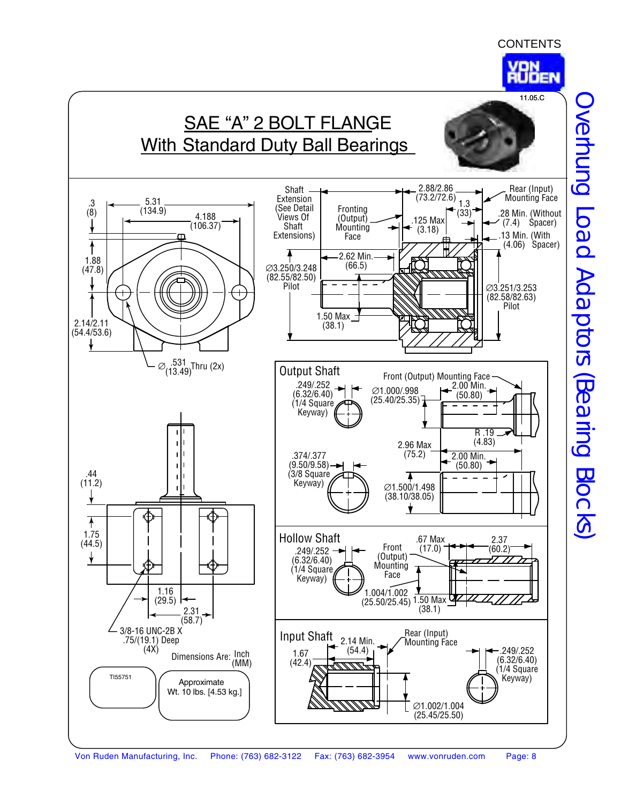



Overhung Load Adaptors (Bearing Blocks) Overhung Load Adaptors (Bearing Blocks)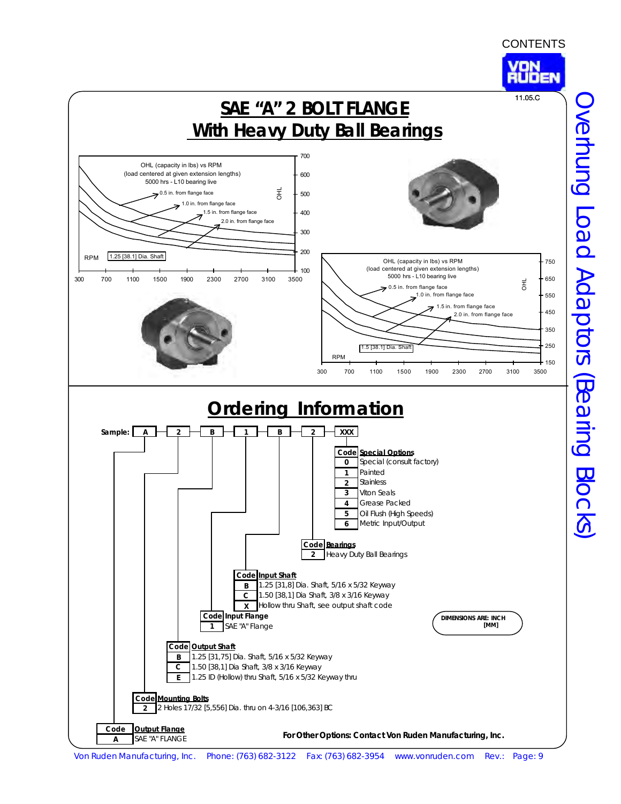<span id="page-8-0"></span>

Von Ruden Manufacturing, Inc. Phone: (763) 682-3122 Fax: (763) 682-3954 www.vonruden.com Rev.: Page: 9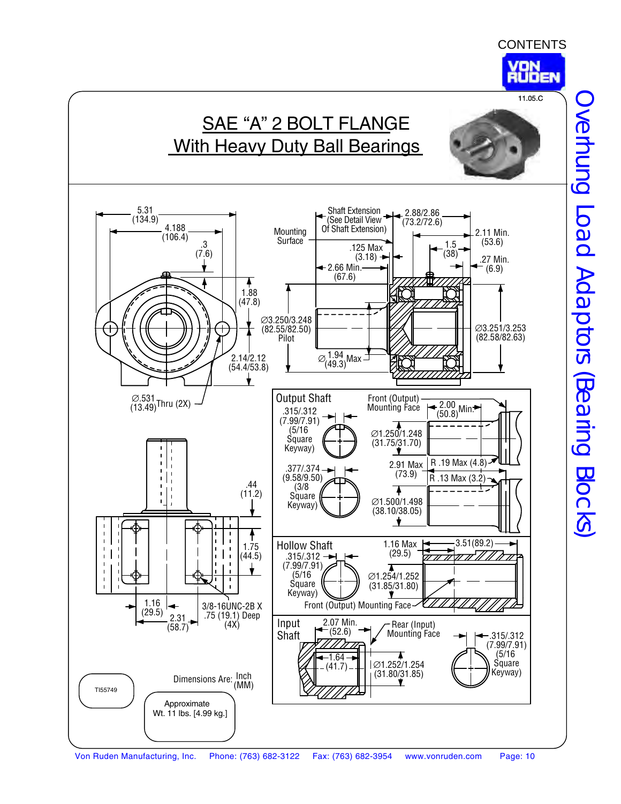





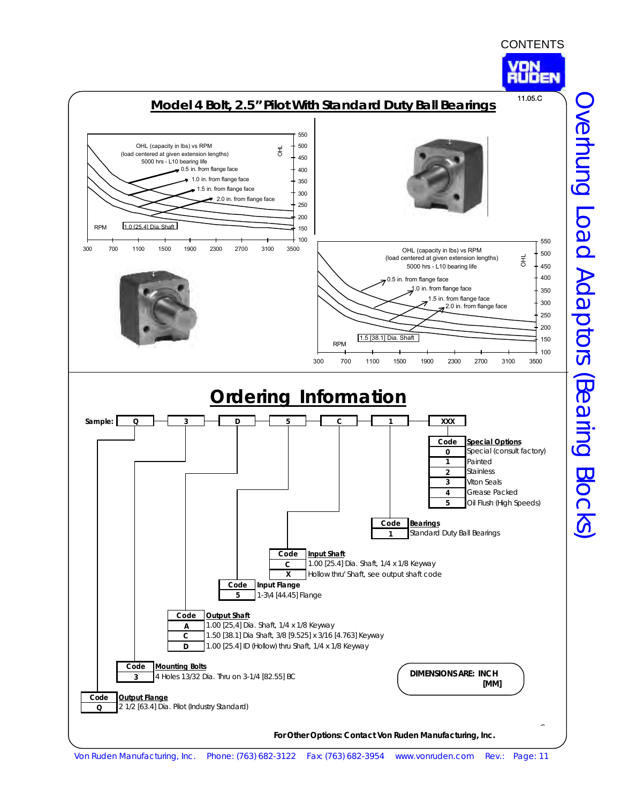

<span id="page-10-0"></span>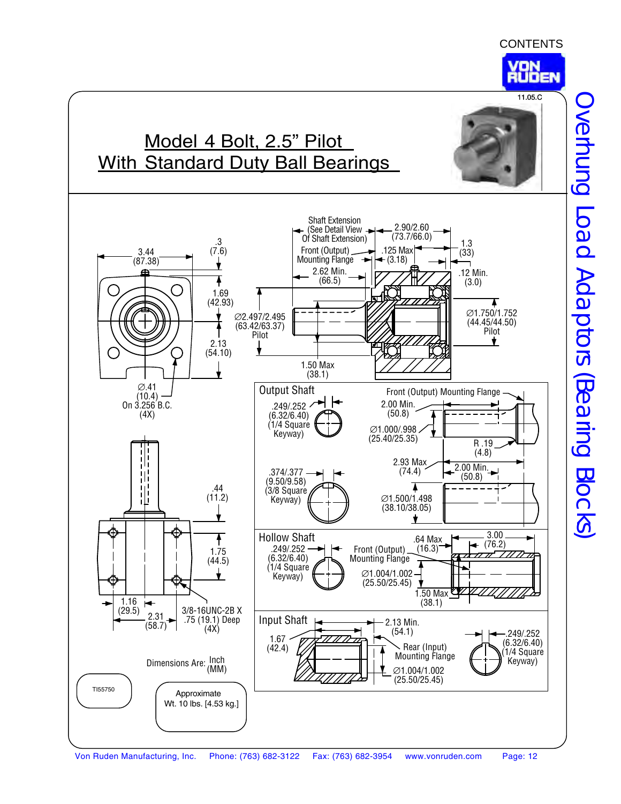

11.05.C



Overhung Load Adaptors (Bearing Blocks) Overhung Load Adaptors (Bearing Blocks)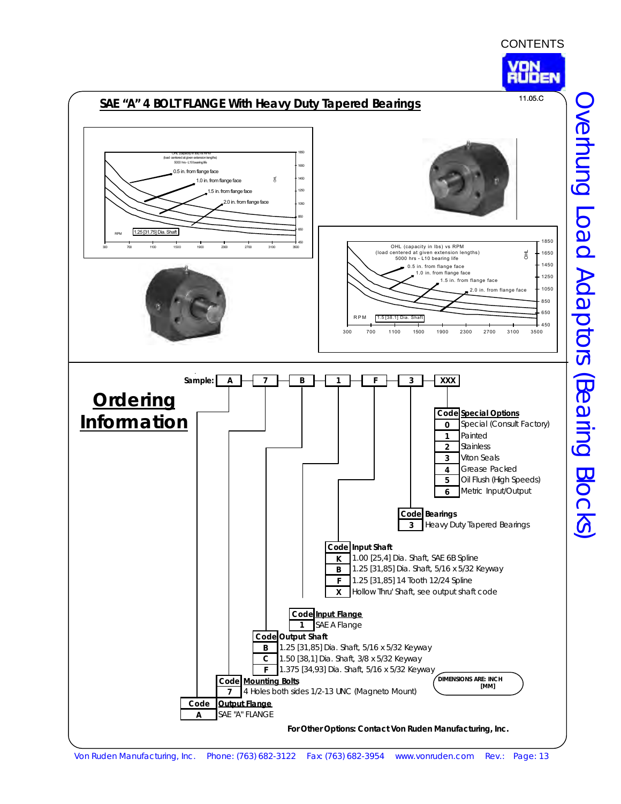

<span id="page-12-0"></span>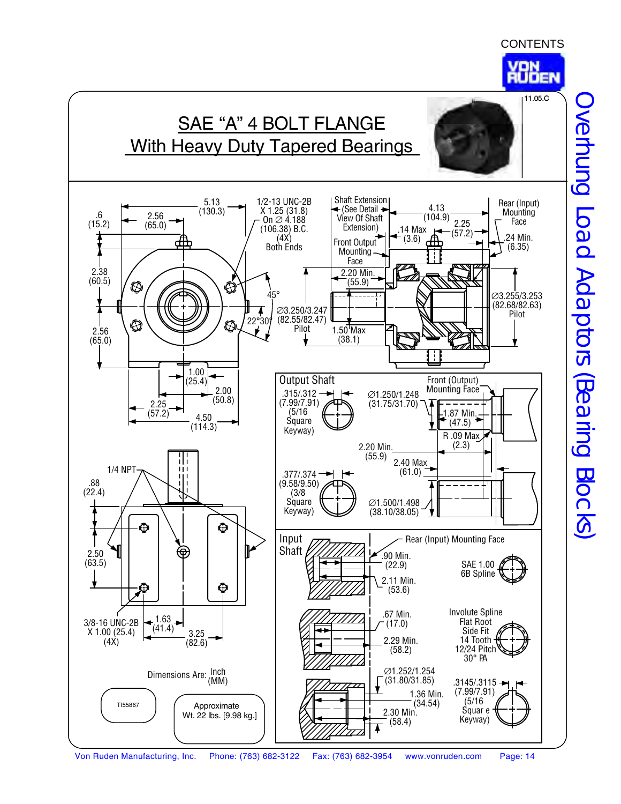



Overhung Load Adaptors (Bearing Blocks) Overhung Load Adaptors (Bearing Blocks)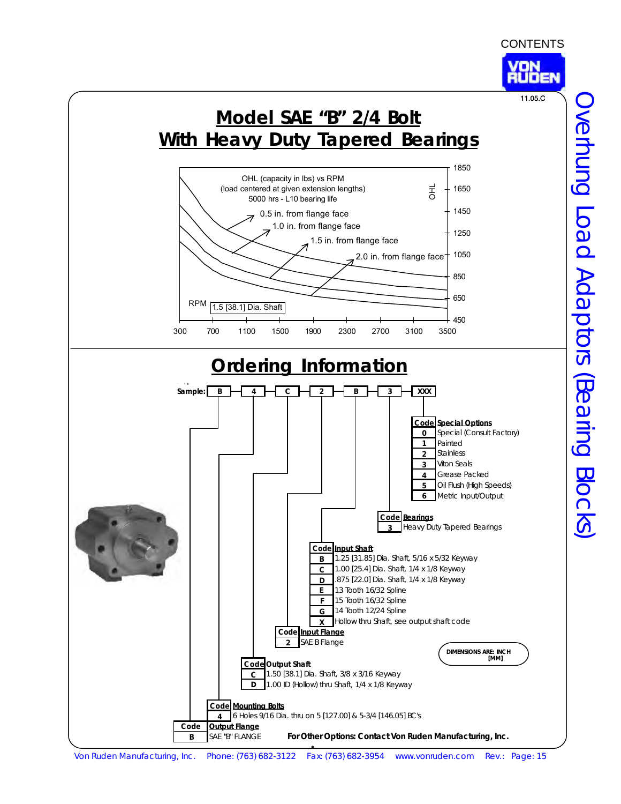<span id="page-14-0"></span>**Ordering Information** Crop **Sample: B 4 C 2 B 3 XXX Code Special Options 0** Special (Consult Factory) **1** Painted **2** Stainless **3** Viton Seals **4** Grease Packed **5** Oil Flush (High Speeds) **6** Metric Input/Output **Code Bearings 3** Heavy Duty Tapered Bearings **Code Input Shaft B** 1.25 [31.85] Dia. Shaft, 5/16 x 5/32 Keyway **C** 1.00 [25.4] Dia. Shaft, 1/4 x 1/8 Keyway **D** .875 [22.0] Dia. Shaft, 1/4 x 1/8 Keyway **E** 13 Tooth 16/32 Spline **F** 15 Tooth 16/32 Spline **G** 14 Tooth 12/24 Spline **X** Hollow thru Shaft, see output shaft code **Code Input Flange 2** SAE B Flange **Code Output Shaft C** 1.50 [38.1] Dia. Shaft, 3/8 x 3/16 Keyway **D** 1.00 ID (Hollow) thru Shaft, 1/4 x 1/8 Keyway **Code Mounting Bolts 4** 6 Holes 9/16 Dia. thru on 5 [127.00] & 5-3/4 [146.05] BC's **Code Output Flange B** SAE "B" FLANGE **Model SAE "B" 2/4 Bolt With Heavy Duty Tapered Bearings DIMENSIONS ARE: INCH [MM] For Other Options: Contact Von Ruden Manufacturing, Inc.** OHL (capacity in lbs) vs RPM (load centered at given extension lengths) 5000 hrs - L10 bearing life 450 650 850 1050 1250 1450 1650 1850 300 700 1100 1500 1900 2300 2700 3100 3500 RPM 1.5 [38.1] Dia. Shaft 롱 0.5 in. from flange face 1.0 in. from flange face 1.5 in. from flange face 2.0 in. from flange face 11.05.C

Von Ruden Manufacturing, Inc. Phone: (763) 682-3122 Fax: (763) 682-3954 www.vonruden.com Rev.: Page: 15

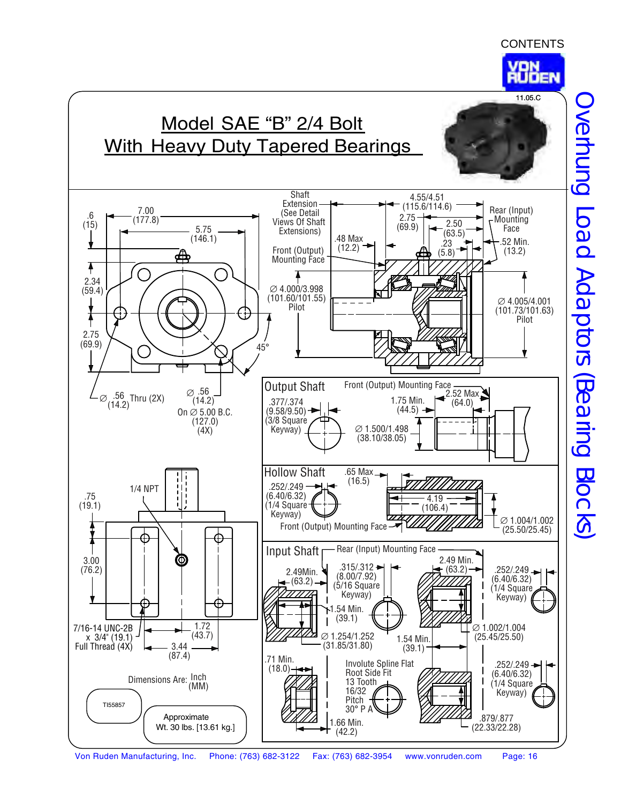

# Model SAE "B" 2/4 Bolt With Heavy Duty Tapered Bearings





Overhung Load Adaptors (Bearing Blocks) Overhung Load Adaptors (Bearing Blocks)

Von Ruden Manufacturing, Inc. Phone: (763) 682-3122 Fax: (763) 682-3954 www.vonruden.com Page: 16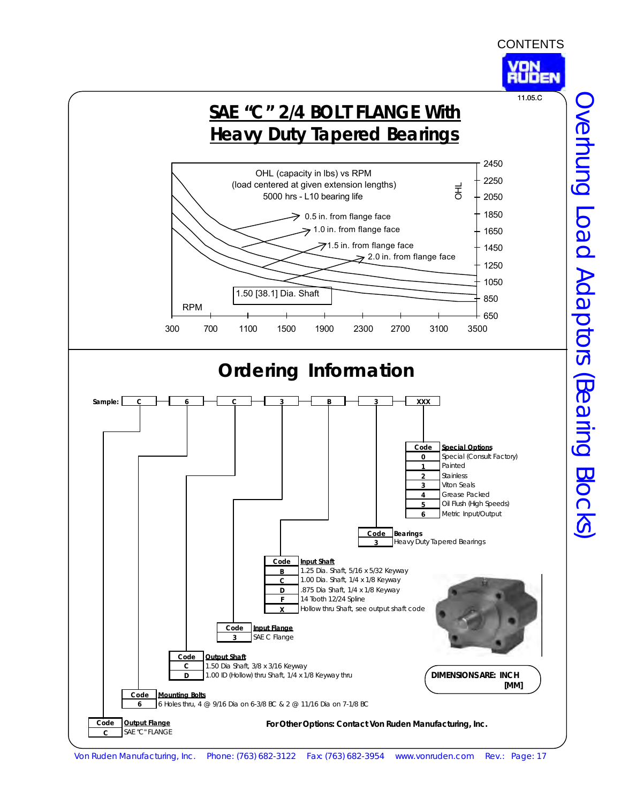<span id="page-16-0"></span>

Overhung Load Adaptors (Bearing Blocks) Overhung Load Adaptors (Bearing Blocks)

Von Ruden Manufacturing, Inc. Phone: (763) 682-3122 Fax: (763) 682-3954 www.vonruden.com Rev.: Page: 17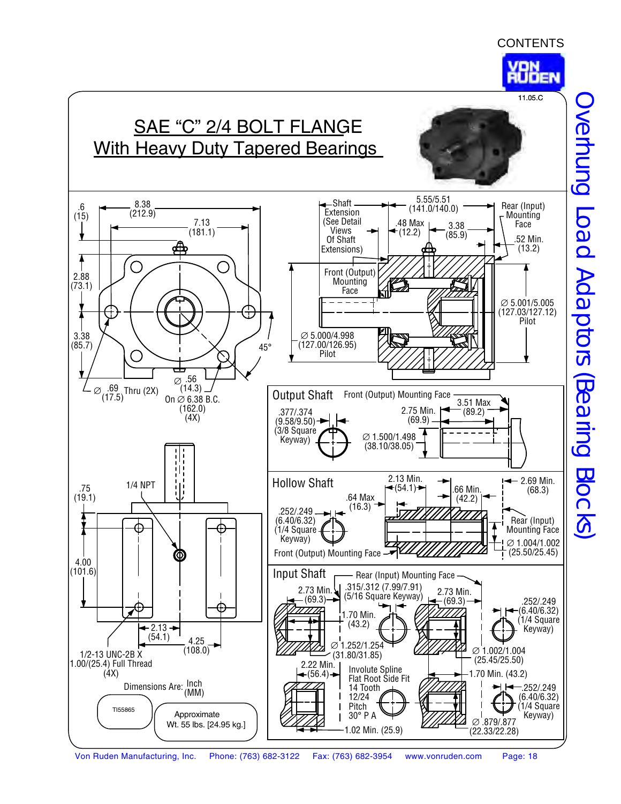



Overhung Load Adaptors (Bearing Blocks) Overhung Load Adaptors (Bearing Blocks)

Von Ruden Manufacturing, Inc. Phone: (763) 682-3122 Fax: (763) 682-3954 www.vonruden.com Page: 18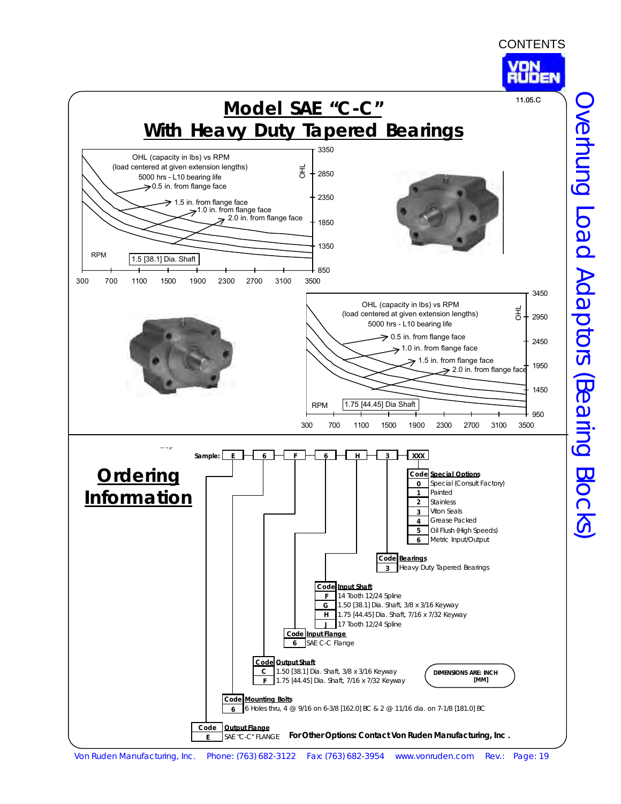<span id="page-18-0"></span>